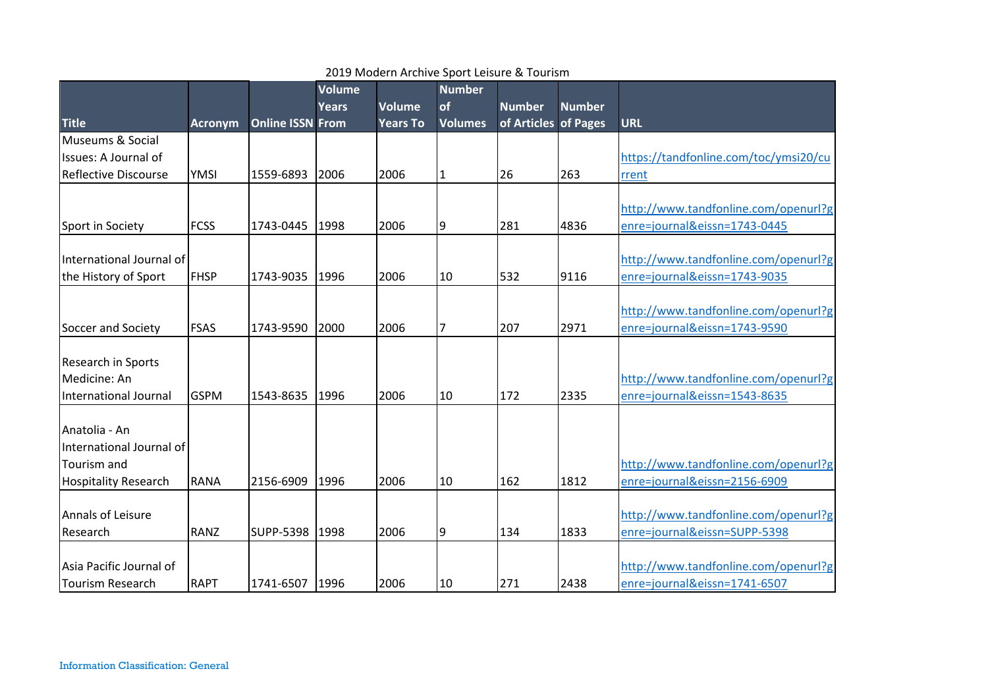|                             |                |                         | <b>Volume</b> |                 | <b>Number</b>  |                      |               |                                       |
|-----------------------------|----------------|-------------------------|---------------|-----------------|----------------|----------------------|---------------|---------------------------------------|
|                             |                |                         | <b>Years</b>  | <b>Volume</b>   | of             | <b>Number</b>        | <b>Number</b> |                                       |
| <b>Title</b>                | <b>Acronym</b> | <b>Online ISSN From</b> |               | <b>Years To</b> | <b>Volumes</b> | of Articles of Pages |               | <b>URL</b>                            |
| Museums & Social            |                |                         |               |                 |                |                      |               |                                       |
| Issues: A Journal of        |                |                         |               |                 |                |                      |               | https://tandfonline.com/toc/ymsi20/cu |
| <b>Reflective Discourse</b> | <b>YMSI</b>    | 1559-6893               | 2006          | 2006            | $\mathbf{1}$   | 26                   | 263           | rrent                                 |
|                             |                |                         |               |                 |                |                      |               | http://www.tandfonline.com/openurl?g  |
| Sport in Society            | <b>FCSS</b>    | 1743-0445               | 1998          | 2006            | 9              | 281                  | 4836          | enre=journal&eissn=1743-0445          |
|                             |                |                         |               |                 |                |                      |               |                                       |
| International Journal of    |                |                         |               |                 |                |                      |               | http://www.tandfonline.com/openurl?g  |
| the History of Sport        | <b>FHSP</b>    | 1743-9035               | 1996          | 2006            | 10             | 532                  | 9116          | enre=journal&eissn=1743-9035          |
|                             |                |                         |               |                 |                |                      |               |                                       |
|                             |                |                         |               |                 |                |                      |               | http://www.tandfonline.com/openurl?g  |
| Soccer and Society          | <b>FSAS</b>    | 1743-9590               | 2000          | 2006            | $\overline{7}$ | 207                  | 2971          | enre=journal&eissn=1743-9590          |
|                             |                |                         |               |                 |                |                      |               |                                       |
| <b>Research in Sports</b>   |                |                         |               |                 |                |                      |               |                                       |
| Medicine: An                |                |                         |               |                 |                |                      |               | http://www.tandfonline.com/openurl?g  |
| International Journal       | <b>GSPM</b>    | 1543-8635               | 1996          | 2006            | 10             | 172                  | 2335          | enre=journal&eissn=1543-8635          |
|                             |                |                         |               |                 |                |                      |               |                                       |
| Anatolia - An               |                |                         |               |                 |                |                      |               |                                       |
| International Journal of    |                |                         |               |                 |                |                      |               |                                       |
| Tourism and                 |                |                         |               |                 |                |                      |               | http://www.tandfonline.com/openurl?g  |
| <b>Hospitality Research</b> | RANA           | 2156-6909               | 1996          | 2006            | 10             | 162                  | 1812          | enre=journal&eissn=2156-6909          |
|                             |                |                         |               |                 |                |                      |               |                                       |
| Annals of Leisure           |                |                         |               |                 |                |                      |               | http://www.tandfonline.com/openurl?g  |
| Research                    | <b>RANZ</b>    | <b>SUPP-5398</b>        | 1998          | 2006            | 9              | 134                  | 1833          | enre=journal&eissn=SUPP-5398          |
|                             |                |                         |               |                 |                |                      |               |                                       |
| Asia Pacific Journal of     |                |                         |               |                 |                |                      |               | http://www.tandfonline.com/openurl?g  |
| <b>Tourism Research</b>     | <b>RAPT</b>    | 1741-6507 1996          |               | 2006            | 10             | 271                  | 2438          | enre=journal&eissn=1741-6507          |

## 2019 Modern Archive Sport Leisure & Tourism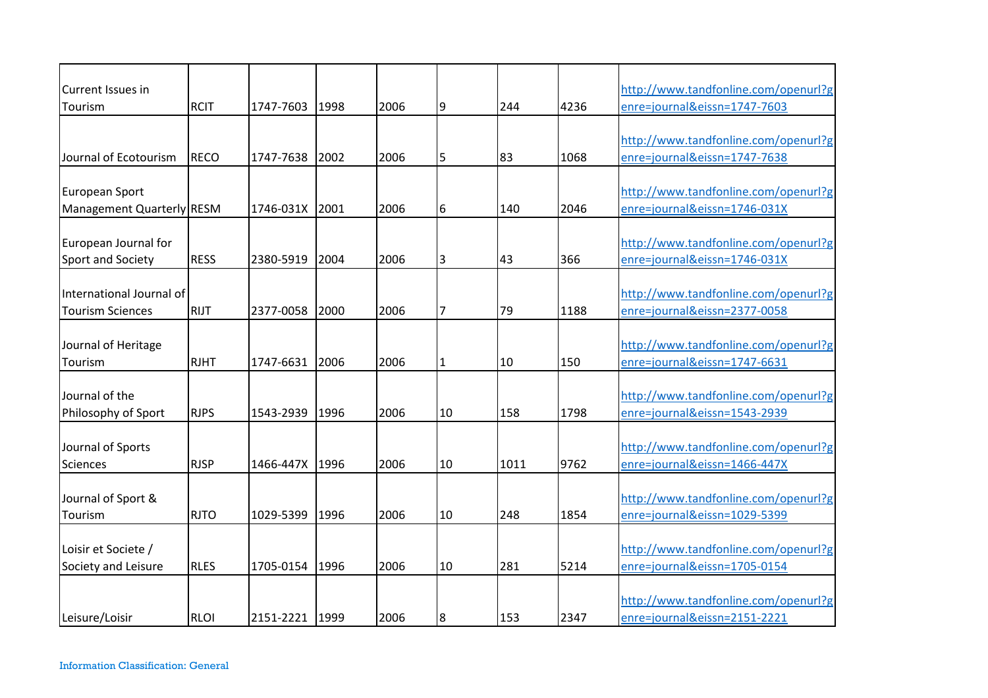| Current Issues in         |             |           |      |      |                |      |      | http://www.tandfonline.com/openurl?g |
|---------------------------|-------------|-----------|------|------|----------------|------|------|--------------------------------------|
| Tourism                   | <b>RCIT</b> | 1747-7603 | 1998 | 2006 | 9              | 244  | 4236 | enre=journal&eissn=1747-7603         |
|                           |             |           |      |      |                |      |      |                                      |
|                           |             |           |      |      |                |      |      | http://www.tandfonline.com/openurl?g |
| Journal of Ecotourism     | RECO        | 1747-7638 | 2002 | 2006 | 5              | 83   | 1068 | enre=journal&eissn=1747-7638         |
| European Sport            |             |           |      |      |                |      |      | http://www.tandfonline.com/openurl?g |
|                           |             |           |      |      |                |      |      |                                      |
| Management Quarterly RESM |             | 1746-031X | 2001 | 2006 | 6              | 140  | 2046 | enre=journal&eissn=1746-031X         |
| European Journal for      |             |           |      |      |                |      |      | http://www.tandfonline.com/openurl?g |
| Sport and Society         | <b>RESS</b> | 2380-5919 | 2004 | 2006 | 3              | 43   | 366  | enre=journal&eissn=1746-031X         |
|                           |             |           |      |      |                |      |      |                                      |
| International Journal of  |             |           |      |      |                |      |      | http://www.tandfonline.com/openurl?g |
| <b>Tourism Sciences</b>   | <b>RIJT</b> | 2377-0058 | 2000 | 2006 | $\overline{7}$ | 79   | 1188 | enre=journal&eissn=2377-0058         |
|                           |             |           |      |      |                |      |      |                                      |
| Journal of Heritage       |             |           |      |      |                |      |      | http://www.tandfonline.com/openurl?g |
| Tourism                   | <b>RJHT</b> | 1747-6631 | 2006 | 2006 | 1              | 10   | 150  | enre=journal&eissn=1747-6631         |
|                           |             |           |      |      |                |      |      |                                      |
| Journal of the            |             |           |      |      |                |      |      | http://www.tandfonline.com/openurl?g |
| Philosophy of Sport       | <b>RJPS</b> | 1543-2939 | 1996 | 2006 | 10             | 158  | 1798 | enre=journal&eissn=1543-2939         |
|                           |             |           |      |      |                |      |      |                                      |
| Journal of Sports         |             |           |      |      |                |      |      | http://www.tandfonline.com/openurl?g |
| Sciences                  | <b>RJSP</b> | 1466-447X | 1996 | 2006 | 10             | 1011 | 9762 | enre=journal&eissn=1466-447X         |
|                           |             |           |      |      |                |      |      |                                      |
| Journal of Sport &        |             |           |      |      |                |      |      | http://www.tandfonline.com/openurl?g |
| Tourism                   | <b>RJTO</b> | 1029-5399 | 1996 | 2006 | 10             | 248  | 1854 | enre=journal&eissn=1029-5399         |
|                           |             |           |      |      |                |      |      |                                      |
| Loisir et Societe /       |             |           |      |      |                |      |      | http://www.tandfonline.com/openurl?g |
| Society and Leisure       | <b>RLES</b> | 1705-0154 | 1996 | 2006 | 10             | 281  | 5214 | enre=journal&eissn=1705-0154         |
|                           |             |           |      |      |                |      |      |                                      |
|                           |             |           |      |      |                |      |      | http://www.tandfonline.com/openurl?g |
| Leisure/Loisir            | <b>RLOI</b> | 2151-2221 | 1999 | 2006 | 8              | 153  | 2347 | enre=journal&eissn=2151-2221         |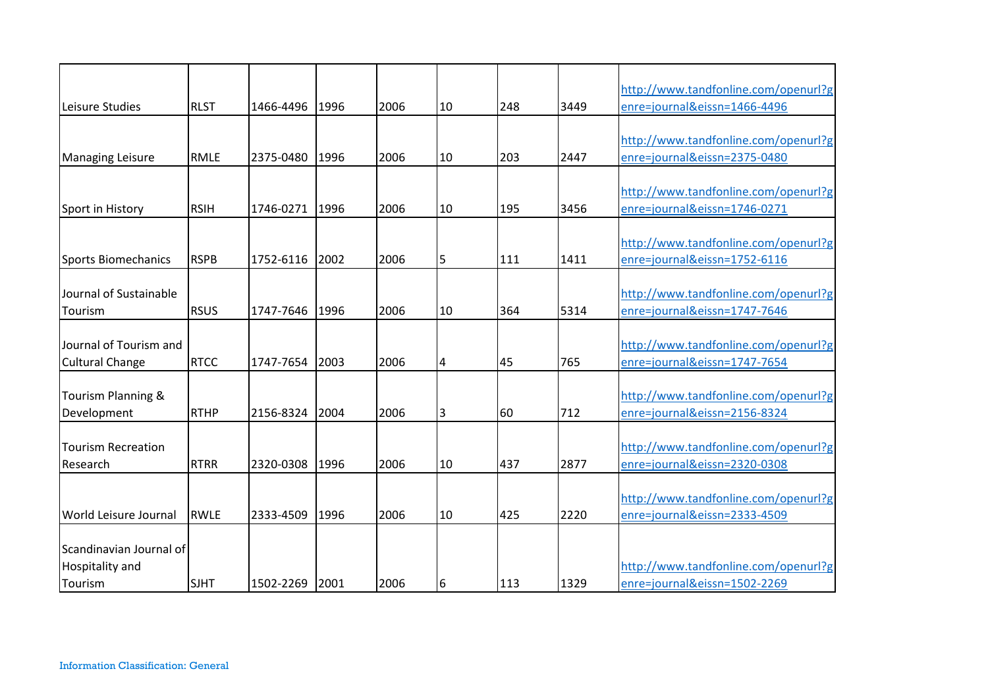|                               |             |           |      |      |    |     |      | http://www.tandfonline.com/openurl?g |
|-------------------------------|-------------|-----------|------|------|----|-----|------|--------------------------------------|
| Leisure Studies               | <b>RLST</b> | 1466-4496 | 1996 | 2006 | 10 | 248 | 3449 | enre=journal&eissn=1466-4496         |
|                               |             |           |      |      |    |     |      |                                      |
|                               |             |           |      |      |    |     |      | http://www.tandfonline.com/openurl?g |
| <b>Managing Leisure</b>       | <b>RMLE</b> | 2375-0480 | 1996 | 2006 | 10 | 203 | 2447 | enre=journal&eissn=2375-0480         |
|                               |             |           |      |      |    |     |      |                                      |
|                               |             |           |      |      |    |     |      | http://www.tandfonline.com/openurl?g |
| Sport in History              | <b>RSIH</b> | 1746-0271 | 1996 | 2006 | 10 | 195 | 3456 | enre=journal&eissn=1746-0271         |
|                               |             |           |      |      |    |     |      |                                      |
|                               |             |           |      |      |    |     |      | http://www.tandfonline.com/openurl?g |
| Sports Biomechanics           | <b>RSPB</b> | 1752-6116 | 2002 | 2006 | 5  | 111 | 1411 | enre=journal&eissn=1752-6116         |
|                               |             |           |      |      |    |     |      |                                      |
| Journal of Sustainable        |             |           |      |      |    |     |      | http://www.tandfonline.com/openurl?g |
| Tourism                       | <b>RSUS</b> | 1747-7646 | 1996 | 2006 | 10 | 364 | 5314 | enre=journal&eissn=1747-7646         |
|                               |             |           |      |      |    |     |      |                                      |
| Journal of Tourism and        |             |           |      |      |    |     |      | http://www.tandfonline.com/openurl?g |
| <b>Cultural Change</b>        | <b>RTCC</b> | 1747-7654 | 2003 | 2006 | 4  | 45  | 765  | enre=journal&eissn=1747-7654         |
|                               |             |           |      |      |    |     |      |                                      |
| <b>Tourism Planning &amp;</b> |             |           |      |      |    |     |      | http://www.tandfonline.com/openurl?g |
| Development                   | <b>RTHP</b> | 2156-8324 | 2004 | 2006 | 3  | 60  | 712  | enre=journal&eissn=2156-8324         |
| <b>Tourism Recreation</b>     |             |           |      |      |    |     |      | http://www.tandfonline.com/openurl?g |
|                               |             | 2320-0308 |      | 2006 |    |     |      |                                      |
| Research                      | <b>RTRR</b> |           | 1996 |      | 10 | 437 | 2877 | enre=journal&eissn=2320-0308         |
|                               |             |           |      |      |    |     |      | http://www.tandfonline.com/openurl?g |
| <b>World Leisure Journal</b>  | RWLE        | 2333-4509 | 1996 | 2006 | 10 | 425 | 2220 | enre=journal&eissn=2333-4509         |
|                               |             |           |      |      |    |     |      |                                      |
| Scandinavian Journal of       |             |           |      |      |    |     |      |                                      |
| Hospitality and               |             |           |      |      |    |     |      | http://www.tandfonline.com/openurl?g |
|                               | <b>SJHT</b> | 1502-2269 | 2001 | 2006 |    | 113 | 1329 | enre=journal&eissn=1502-2269         |
| Tourism                       |             |           |      |      | 6  |     |      |                                      |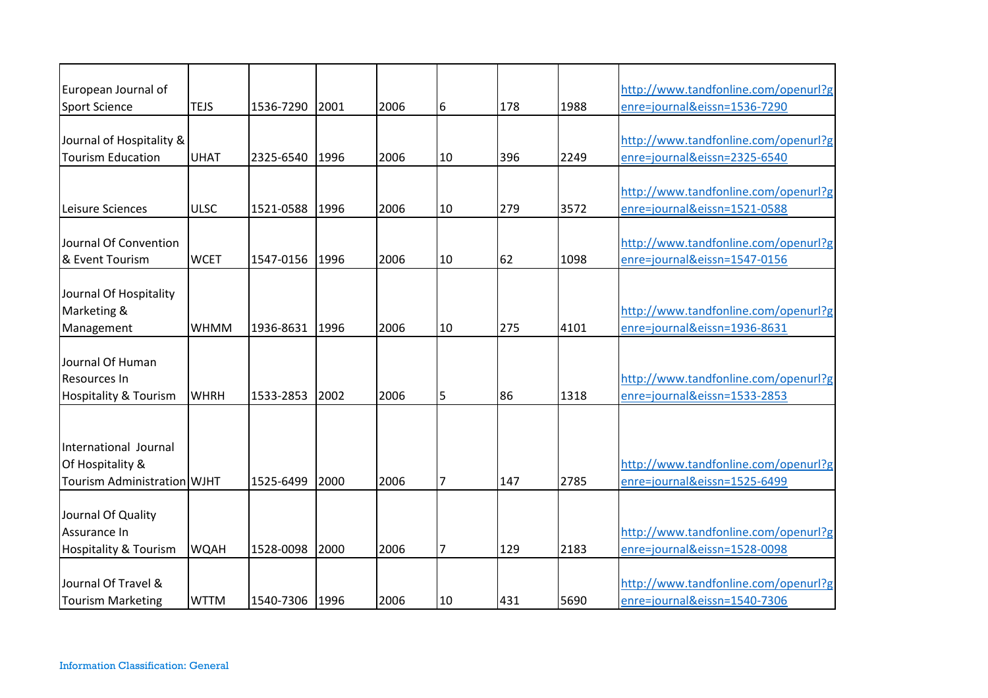| European Journal of                                                      |             |           |      |      |                |     |      | http://www.tandfonline.com/openurl?g                                 |
|--------------------------------------------------------------------------|-------------|-----------|------|------|----------------|-----|------|----------------------------------------------------------------------|
| <b>Sport Science</b>                                                     | <b>TEJS</b> | 1536-7290 | 2001 | 2006 | 6              | 178 | 1988 | enre=journal&eissn=1536-7290                                         |
| Journal of Hospitality &<br><b>Tourism Education</b>                     | <b>UHAT</b> | 2325-6540 | 1996 | 2006 | 10             | 396 | 2249 | http://www.tandfonline.com/openurl?g<br>enre=journal&eissn=2325-6540 |
| Leisure Sciences                                                         | <b>ULSC</b> | 1521-0588 | 1996 | 2006 | 10             | 279 | 3572 | http://www.tandfonline.com/openurl?g<br>enre=journal&eissn=1521-0588 |
| Journal Of Convention<br>& Event Tourism                                 | <b>WCET</b> | 1547-0156 | 1996 | 2006 | 10             | 62  | 1098 | http://www.tandfonline.com/openurl?g<br>enre=journal&eissn=1547-0156 |
| Journal Of Hospitality<br>Marketing &<br>Management                      | <b>WHMM</b> | 1936-8631 | 1996 | 2006 | 10             | 275 | 4101 | http://www.tandfonline.com/openurl?g<br>enre=journal&eissn=1936-8631 |
| Journal Of Human<br>Resources In<br>Hospitality & Tourism                | <b>WHRH</b> | 1533-2853 | 2002 | 2006 | 5              | 86  | 1318 | http://www.tandfonline.com/openurl?g<br>enre=journal&eissn=1533-2853 |
| International Journal<br>Of Hospitality &<br>Tourism Administration WJHT |             | 1525-6499 | 2000 | 2006 | 7              | 147 | 2785 | http://www.tandfonline.com/openurl?g<br>enre=journal&eissn=1525-6499 |
| Journal Of Quality<br>Assurance In<br>Hospitality & Tourism              | <b>WQAH</b> | 1528-0098 | 2000 | 2006 | $\overline{7}$ | 129 | 2183 | http://www.tandfonline.com/openurl?g<br>enre=journal&eissn=1528-0098 |
| Journal Of Travel &<br><b>Tourism Marketing</b>                          | <b>WTTM</b> | 1540-7306 | 1996 | 2006 | 10             | 431 | 5690 | http://www.tandfonline.com/openurl?g<br>enre=journal&eissn=1540-7306 |